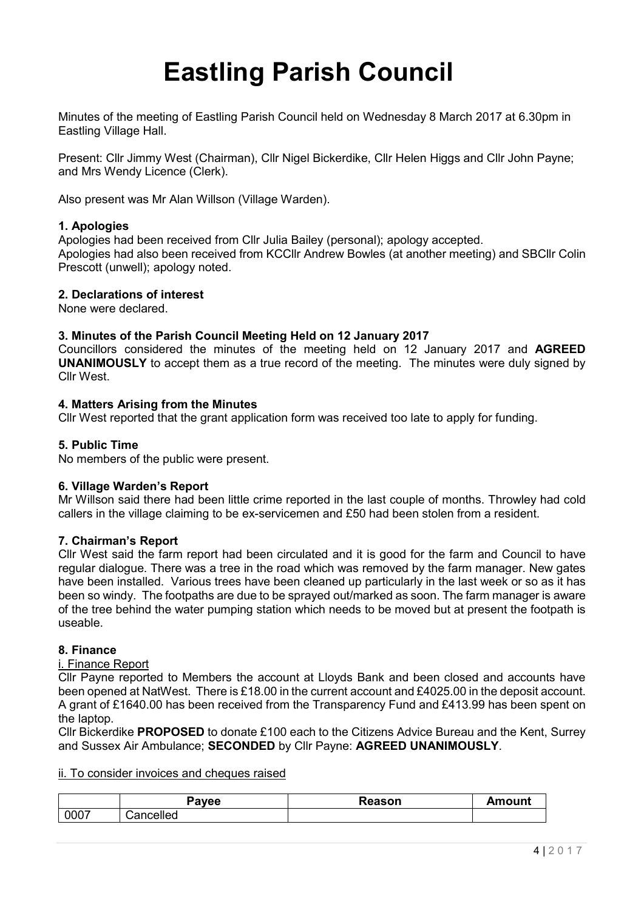# **Eastling Parish Council**

Minutes of the meeting of Eastling Parish Council held on Wednesday 8 March 2017 at 6.30pm in Eastling Village Hall.

Present: Cllr Jimmy West (Chairman), Cllr Nigel Bickerdike, Cllr Helen Higgs and Cllr John Payne; and Mrs Wendy Licence (Clerk).

Also present was Mr Alan Willson (Village Warden).

#### **1. Apologies**

Apologies had been received from Cllr Julia Bailey (personal); apology accepted. Apologies had also been received from KCCllr Andrew Bowles (at another meeting) and SBCllr Colin Prescott (unwell); apology noted.

#### **2. Declarations of interest**

None were declared.

#### **3. Minutes of the Parish Council Meeting Held on 12 January 2017**

Councillors considered the minutes of the meeting held on 12 January 2017 and **AGREED UNANIMOUSLY** to accept them as a true record of the meeting. The minutes were duly signed by Cllr West.

#### **4. Matters Arising from the Minutes**

Cllr West reported that the grant application form was received too late to apply for funding.

#### **5. Public Time**

No members of the public were present.

#### **6. Village Warden's Report**

Mr Willson said there had been little crime reported in the last couple of months. Throwley had cold callers in the village claiming to be ex-servicemen and £50 had been stolen from a resident.

#### **7. Chairman's Report**

Cllr West said the farm report had been circulated and it is good for the farm and Council to have regular dialogue. There was a tree in the road which was removed by the farm manager. New gates have been installed. Various trees have been cleaned up particularly in the last week or so as it has been so windy. The footpaths are due to be sprayed out/marked as soon. The farm manager is aware of the tree behind the water pumping station which needs to be moved but at present the footpath is useable.

#### **8. Finance**

#### i. Finance Report

Cllr Payne reported to Members the account at Lloyds Bank and been closed and accounts have been opened at NatWest. There is £18.00 in the current account and £4025.00 in the deposit account. A grant of £1640.00 has been received from the Transparency Fund and £413.99 has been spent on the laptop.

Cllr Bickerdike **PROPOSED** to donate £100 each to the Citizens Advice Bureau and the Kent, Surrey and Sussex Air Ambulance; **SECONDED** by Cllr Payne: **AGREED UNANIMOUSLY**.

#### ii. To consider invoices and cheques raised

|      | 'avee                 | Reason | Amount |
|------|-----------------------|--------|--------|
| 0007 | -<br>celled<br>⊶ulluu |        |        |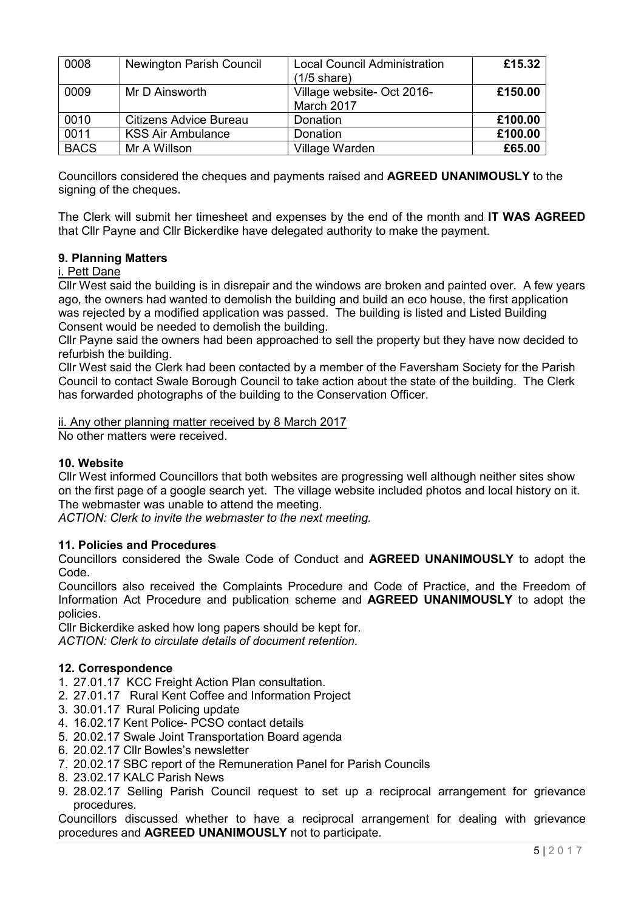| 0008        | <b>Newington Parish Council</b> | <b>Local Council Administration</b><br>$(1/5 \text{ share})$ | £15.32  |
|-------------|---------------------------------|--------------------------------------------------------------|---------|
| 0009        | Mr D Ainsworth                  | Village website- Oct 2016-<br>March 2017                     | £150.00 |
| 0010        | <b>Citizens Advice Bureau</b>   | Donation                                                     | £100.00 |
| 0011        | <b>KSS Air Ambulance</b>        | Donation                                                     | £100.00 |
| <b>BACS</b> | Mr A Willson                    | Village Warden                                               | £65.00  |

Councillors considered the cheques and payments raised and **AGREED UNANIMOUSLY** to the signing of the cheques.

The Clerk will submit her timesheet and expenses by the end of the month and **IT WAS AGREED**  that Cllr Payne and Cllr Bickerdike have delegated authority to make the payment.

### **9. Planning Matters**

#### i. Pett Dane

Cllr West said the building is in disrepair and the windows are broken and painted over. A few years ago, the owners had wanted to demolish the building and build an eco house, the first application was rejected by a modified application was passed. The building is listed and Listed Building Consent would be needed to demolish the building.

Cllr Payne said the owners had been approached to sell the property but they have now decided to refurbish the building.

Cllr West said the Clerk had been contacted by a member of the Faversham Society for the Parish Council to contact Swale Borough Council to take action about the state of the building. The Clerk has forwarded photographs of the building to the Conservation Officer.

ii. Any other planning matter received by 8 March 2017

No other matters were received.

#### **10. Website**

Cllr West informed Councillors that both websites are progressing well although neither sites show on the first page of a google search yet. The village website included photos and local history on it. The webmaster was unable to attend the meeting.

*ACTION: Clerk to invite the webmaster to the next meeting.*

#### **11. Policies and Procedures**

Councillors considered the Swale Code of Conduct and **AGREED UNANIMOUSLY** to adopt the Code.

Councillors also received the Complaints Procedure and Code of Practice, and the Freedom of Information Act Procedure and publication scheme and **AGREED UNANIMOUSLY** to adopt the policies.

Cllr Bickerdike asked how long papers should be kept for. *ACTION: Clerk to circulate details of document retention.*

#### **12. Correspondence**

- 1. 27.01.17 KCC Freight Action Plan consultation.
- 2. 27.01.17 Rural Kent Coffee and Information Project
- 3. 30.01.17 Rural Policing update
- 4. 16.02.17 Kent Police- PCSO contact details
- 5. 20.02.17 Swale Joint Transportation Board agenda
- 6. 20.02.17 Cllr Bowles's newsletter
- 7. 20.02.17 SBC report of the Remuneration Panel for Parish Councils
- 8. 23.02.17 KALC Parish News
- 9. 28.02.17 Selling Parish Council request to set up a reciprocal arrangement for grievance procedures.

Councillors discussed whether to have a reciprocal arrangement for dealing with grievance procedures and **AGREED UNANIMOUSLY** not to participate.